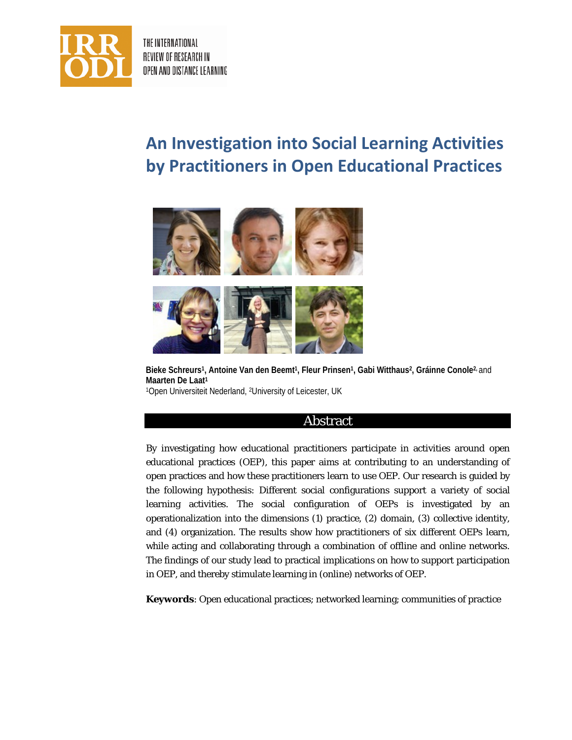

THE INTERNATIONAL REVIEW OF RESEARCH IN OPEN AND DISTANCE LEARNING

# **An Investigation into Social Learning Activities by Practitioners in Open Educational Practices**



**Bieke Schreurs1, Antoine Van den Beemt1, Fleur Prinsen1, Gabi Witthaus2, Gráinne Conole2,** and **Maarten De Laat1**

1Open Universiteit Nederland, 2University of Leicester, UK

### Abstract

By investigating how educational practitioners participate in activities around open educational practices (OEP), this paper aims at contributing to an understanding of open practices and how these practitioners learn to use OEP. Our research is guided by the following hypothesis: Different social configurations support a variety of social learning activities. The social configuration of OEPs is investigated by an operationalization into the dimensions (1) practice, (2) domain, (3) collective identity, and (4) organization. The results show how practitioners of six different OEPs learn, while acting and collaborating through a combination of offline and online networks. The findings of our study lead to practical implications on how to support participation in OEP, and thereby stimulate learning in (online) networks of OEP.

**Keywords**: Open educational practices; networked learning; communities of practice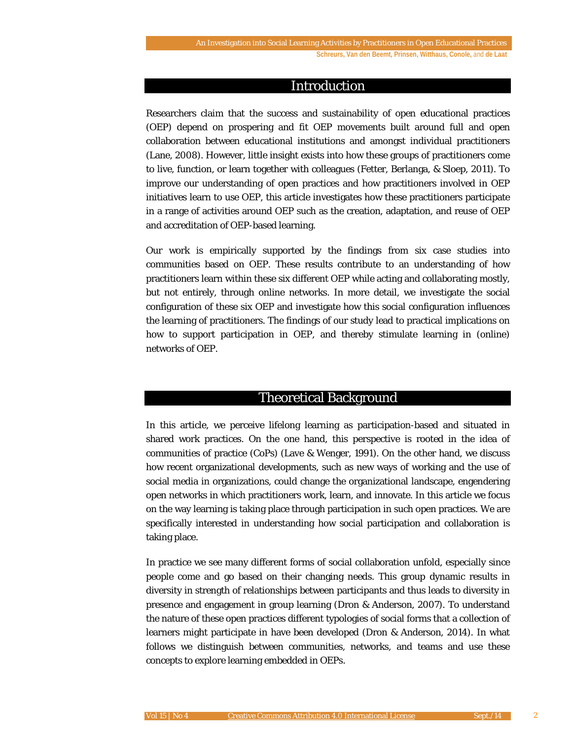#### Introduction

Researchers claim that the success and sustainability of open educational practices (OEP) depend on prospering and fit OEP movements built around full and open collaboration between educational institutions and amongst individual practitioners (Lane, 2008). However, little insight exists into how these groups of practitioners come to live, function, or learn together with colleagues (Fetter, Berlanga, & Sloep, 2011). To improve our understanding of open practices and how practitioners involved in OEP initiatives learn to use OEP, this article investigates how these practitioners participate in a range of activities around OEP such as the creation, adaptation, and reuse of OEP and accreditation of OEP-based learning.

Our work is empirically supported by the findings from six case studies into communities based on OEP. These results contribute to an understanding of how practitioners learn within these six different OEP while acting and collaborating mostly, but not entirely, through online networks. In more detail, we investigate the social configuration of these six OEP and investigate how this social configuration influences the learning of practitioners. The findings of our study lead to practical implications on how to support participation in OEP, and thereby stimulate learning in (online) networks of OEP.

### Theoretical Background

In this article, we perceive lifelong learning as participation-based and situated in shared work practices. On the one hand, this perspective is rooted in the idea of communities of practice (CoPs) (Lave & Wenger, 1991). On the other hand, we discuss how recent organizational developments, such as new ways of working and the use of social media in organizations, could change the organizational landscape, engendering open networks in which practitioners work, learn, and innovate. In this article we focus on the way learning is taking place through participation in such open practices. We are specifically interested in understanding how social participation and collaboration is taking place.

In practice we see many different forms of social collaboration unfold, especially since people come and go based on their changing needs. This group dynamic results in diversity in strength of relationships between participants and thus leads to diversity in presence and engagement in group learning (Dron & Anderson, 2007). To understand the nature of these open practices different typologies of social forms that a collection of learners might participate in have been developed (Dron & Anderson, 2014). In what follows we distinguish between communities, networks, and teams and use these concepts to explore learning embedded in OEPs.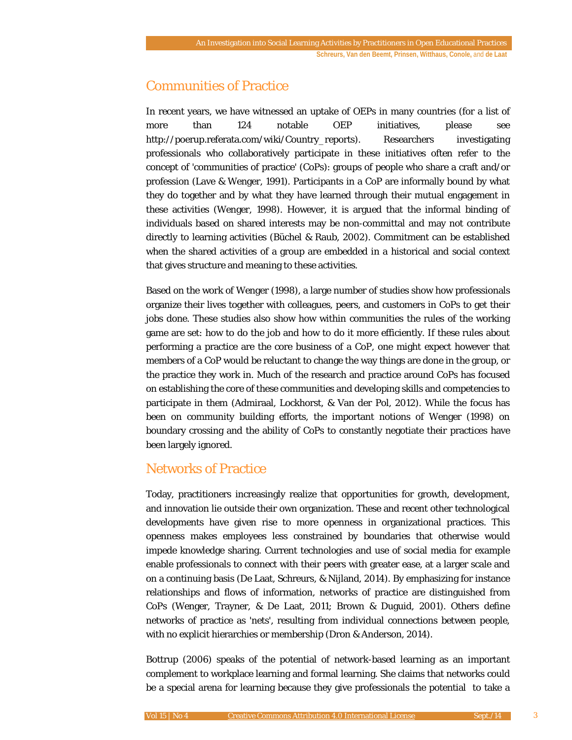# Communities of Practice

In recent years, we have witnessed an uptake of OEPs in many countries (for a list of more than 124 notable OEP initiatives, please see http://poerup.referata.com/wiki/Country\_reports). Researchers investigating professionals who collaboratively participate in these initiatives often refer to the concept of 'communities of practice' (CoPs): groups of people who share a craft and/or profession (Lave & Wenger, 1991). Participants in a CoP are informally bound by what they do together and by what they have learned through their mutual engagement in these activities (Wenger, 1998). However, it is argued that the informal binding of individuals based on shared interests may be non-committal and may not contribute directly to learning activities (Büchel & Raub, 2002). Commitment can be established when the shared activities of a group are embedded in a historical and social context that gives structure and meaning to these activities.

Based on the work of Wenger (1998), a large number of studies show how professionals organize their lives together with colleagues, peers, and customers in CoPs to get their jobs done. These studies also show how within communities the rules of the working game are set: how to do the job and how to do it more efficiently. If these rules about performing a practice are the core business of a CoP, one might expect however that members of a CoP would be reluctant to change the way things are done in the group, or the practice they work in. Much of the research and practice around CoPs has focused on establishing the core of these communities and developing skills and competencies to participate in them (Admiraal, Lockhorst, & Van der Pol, 2012). While the focus has been on community building efforts, the important notions of Wenger (1998) on boundary crossing and the ability of CoPs to constantly negotiate their practices have been largely ignored.

### Networks of Practice

Today, practitioners increasingly realize that opportunities for growth, development, and innovation lie outside their own organization. These and recent other technological developments have given rise to more openness in organizational practices. This openness makes employees less constrained by boundaries that otherwise would impede knowledge sharing. Current technologies and use of social media for example enable professionals to connect with their peers with greater ease, at a larger scale and on a continuing basis (De Laat, Schreurs, & Nijland, 2014). By emphasizing for instance relationships and flows of information, networks of practice are distinguished from CoPs (Wenger, Trayner, & De Laat, 2011; Brown & Duguid, 2001). Others define networks of practice as 'nets', resulting from individual connections between people, with no explicit hierarchies or membership (Dron & Anderson, 2014).

Bottrup (2006) speaks of the potential of network-based learning as an important complement to workplace learning and formal learning. She claims that networks could be a special arena for learning because they give professionals the potential to take a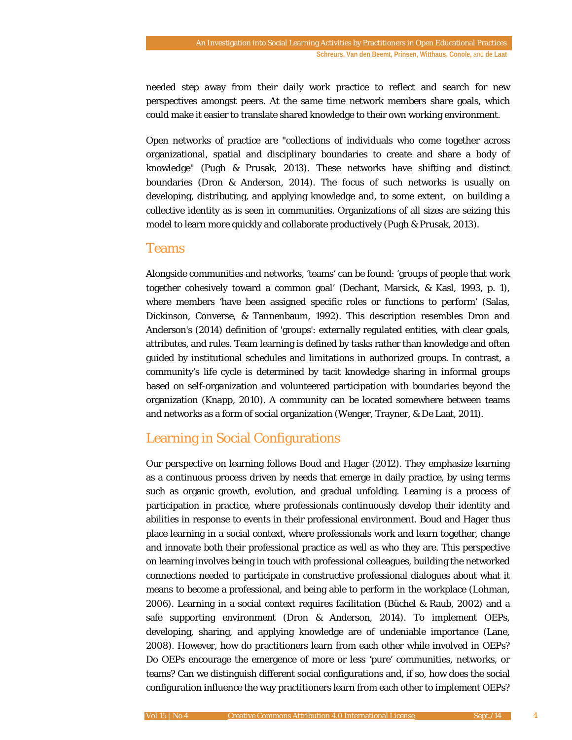needed step away from their daily work practice to reflect and search for new perspectives amongst peers. At the same time network members share goals, which could make it easier to translate shared knowledge to their own working environment.

Open networks of practice are "collections of individuals who come together across organizational, spatial and disciplinary boundaries to create and share a body of knowledge" (Pugh & Prusak, 2013). These networks have shifting and distinct boundaries (Dron & Anderson, 2014). The focus of such networks is usually on developing, distributing, and applying knowledge and, to some extent, on building a collective identity as is seen in communities. Organizations of all sizes are seizing this model to learn more quickly and collaborate productively (Pugh & Prusak, 2013).

### Teams

Alongside communities and networks, 'teams' can be found: 'groups of people that work together cohesively toward a common goal' (Dechant, Marsick, & Kasl, 1993, p. 1), where members 'have been assigned specific roles or functions to perform' (Salas, Dickinson, Converse, & Tannenbaum, 1992). This description resembles Dron and Anderson's (2014) definition of 'groups': externally regulated entities, with clear goals, attributes, and rules. Team learning is defined by tasks rather than knowledge and often guided by institutional schedules and limitations in authorized groups. In contrast, a community's life cycle is determined by tacit knowledge sharing in informal groups based on self-organization and volunteered participation with boundaries beyond the organization (Knapp, 2010). A community can be located somewhere between teams and networks as a form of social organization (Wenger, Trayner, & De Laat, 2011).

### Learning in Social Configurations

Our perspective on learning follows Boud and Hager (2012). They emphasize learning as a continuous process driven by needs that emerge in daily practice, by using terms such as organic growth, evolution, and gradual unfolding. Learning is a process of participation in practice, where professionals continuously develop their identity and abilities in response to events in their professional environment. Boud and Hager thus place learning in a social context, where professionals work and learn together, change and innovate both their professional practice as well as who they are. This perspective on learning involves being in touch with professional colleagues, building the networked connections needed to participate in constructive professional dialogues about what it means to become a professional, and being able to perform in the workplace (Lohman, 2006). Learning in a social context requires facilitation (Büchel & Raub, 2002) and a safe supporting environment (Dron & Anderson, 2014). To implement OEPs, developing, sharing, and applying knowledge are of undeniable importance (Lane, 2008). However, how do practitioners learn from each other while involved in OEPs? Do OEPs encourage the emergence of more or less 'pure' communities, networks, or teams? Can we distinguish different social configurations and, if so, how does the social configuration influence the way practitioners learn from each other to implement OEPs?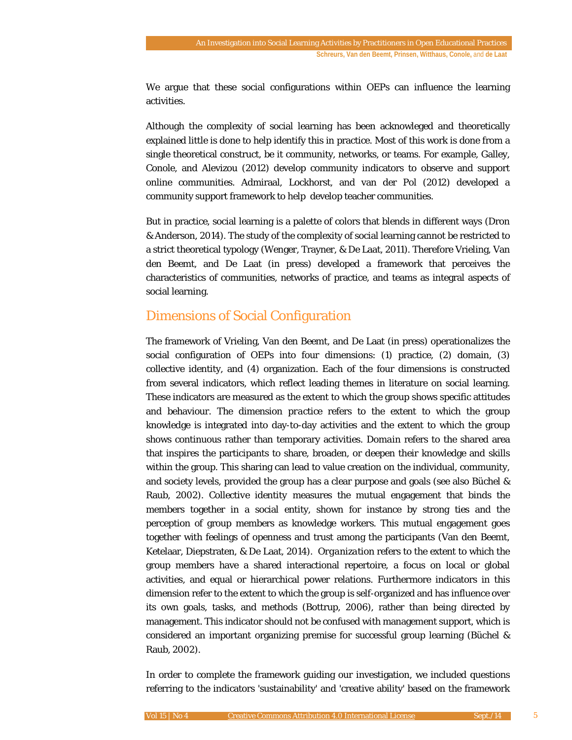We argue that these social configurations within OEPs can influence the learning activities.

Although the complexity of social learning has been acknowleged and theoretically explained little is done to help identify this in practice. Most of this work is done from a single theoretical construct, be it community, networks, or teams. For example, Galley, Conole, and Alevizou (2012) develop community indicators to observe and support online communities. Admiraal, Lockhorst, and van der Pol (2012) developed a community support framework to help develop teacher communities.

But in practice, social learning is a palette of colors that blends in different ways (Dron & Anderson, 2014). The study of the complexity of social learning cannot be restricted to a strict theoretical typology (Wenger, Trayner, & De Laat, 2011). Therefore Vrieling, Van den Beemt, and De Laat (in press) developed a framework that perceives the characteristics of communities, networks of practice, and teams as integral aspects of social learning.

### Dimensions of Social Configuration

The framework of Vrieling, Van den Beemt, and De Laat (in press) operationalizes the social configuration of OEPs into four dimensions: (1) practice, (2) domain, (3) collective identity, and (4) organization. Each of the four dimensions is constructed from several indicators, which reflect leading themes in literature on social learning. These indicators are measured as the extent to which the group shows specific attitudes and behaviour. The dimension *practice* refers to the extent to which the group knowledge is integrated into day-to-day activities and the extent to which the group shows continuous rather than temporary activities. *Domain* refers to the shared area that inspires the participants to share, broaden, or deepen their knowledge and skills within the group. This sharing can lead to value creation on the individual, community, and society levels, provided the group has a clear purpose and goals (see also Büchel & Raub, 2002). *Collective identity* measures the mutual engagement that binds the members together in a social entity, shown for instance by strong ties and the perception of group members as knowledge workers. This mutual engagement goes together with feelings of openness and trust among the participants (Van den Beemt, Ketelaar, Diepstraten, & De Laat, 2014). *Organization* refers to the extent to which the group members have a shared interactional repertoire, a focus on local or global activities, and equal or hierarchical power relations. Furthermore indicators in this dimension refer to the extent to which the group is self-organized and has influence over its own goals, tasks, and methods (Bottrup, 2006), rather than being directed by management. This indicator should not be confused with management support, which is considered an important organizing premise for successful group learning (Büchel & Raub, 2002).

In order to complete the framework guiding our investigation, we included questions referring to the indicators 'sustainability' and 'creative ability' based on the framework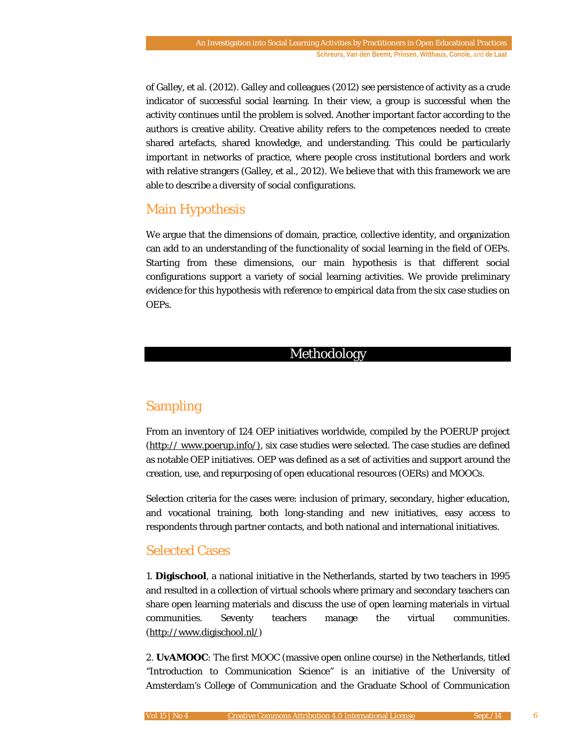of Galley, et al. (2012). Galley and colleagues (2012) see persistence of activity as a crude indicator of successful social learning. In their view, a group is successful when the activity continues until the problem is solved. Another important factor according to the authors is creative ability. Creative ability refers to the competences needed to create shared artefacts, shared knowledge, and understanding. This could be particularly important in networks of practice, where people cross institutional borders and work with relative strangers (Galley, et al., 2012). We believe that with this framework we are able to describe a diversity of social configurations.

# Main Hypothesis

We argue that the dimensions of domain, practice, collective identity, and organization can add to an understanding of the functionality of social learning in the field of OEPs. Starting from these dimensions, our main hypothesis is that different social configurations support a variety of social learning activities. We provide preliminary evidence for this hypothesis with reference to empirical data from the six case studies on OEPs.

# Methodology

# Sampling

From an inventory of 124 OEP initiatives worldwide, compiled by the POERUP project (http:// www.poerup.info/), six case studies were selected. The case studies are defined as notable OEP initiatives. OEP was defined as a set of activities and support around the creation, use, and repurposing of open educational resources (OERs) and MOOCs.

Selection criteria for the cases were: inclusion of primary, secondary, higher education, and vocational training, both long-standing and new initiatives, easy access to respondents through partner contacts, and both national and international initiatives.

### Selected Cases

1. **Digischool**, a national initiative in the Netherlands, started by two teachers in 1995 and resulted in a collection of virtual schools where primary and secondary teachers can share open learning materials and discuss the use of open learning materials in virtual communities. Seventy teachers manage the virtual communities. [\(http://www.digischool.nl/\)](http://www.digischool.nl/)

2. **UvAMOOC**: The first MOOC (massive open online course) in the Netherlands, titled "Introduction to Communication Science" is an initiative of the University of Amsterdam's College of Communication and the Graduate School of Communication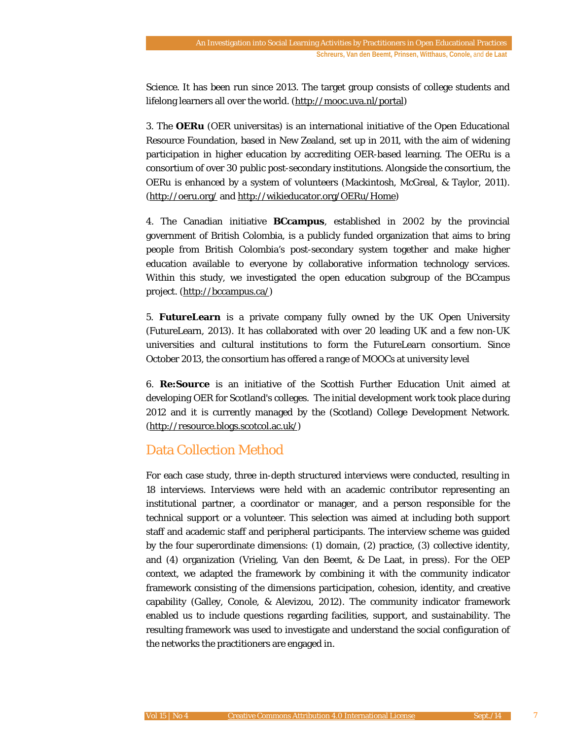Science. It has been run since 2013. The target group consists of college students and lifelong learners all over the world. [\(http://mooc.uva.nl/portal\)](http://mooc.uva.nl/portal)

3. The **OERu** (OER universitas) is an international initiative of the Open Educational Resource Foundation, based in New Zealand, set up in 2011, with the aim of widening participation in higher education by accrediting OER-based learning. The OERu is a consortium of over 30 public post-secondary institutions. Alongside the consortium, the OERu is enhanced by a system of volunteers (Mackintosh, McGreal, & Taylor, 2011). [\(http://oeru.org/](http://oeru.org/) and [http://wikieducator.org/OERu/Home\)](http://wikieducator.org/OERu/Home)

4. The Canadian initiative **BCcampus**, established in 2002 by the provincial government of British Colombia, is a publicly funded organization that aims to bring people from British Colombia's post-secondary system together and make higher education available to everyone by collaborative information technology services. Within this study, we investigated the open education subgroup of the BCcampus project. [\(http://bccampus.ca/\)](http://bccampus.ca/)

5. **FutureLearn** is a private company fully owned by the UK Open University (FutureLearn, 2013). It has collaborated with over 20 leading UK and a few non-UK universities and cultural institutions to form the FutureLearn consortium. Since October 2013, the consortium has offered a range of MOOCs at university level

6. **Re:Source** is an initiative of the Scottish Further Education Unit aimed at developing OER for Scotland's colleges. The initial development work took place during 2012 and it is currently managed by the (Scotland) College Development Network. [\(http://resource.blogs.scotcol.ac.uk/\)](https://mail.ou.nl/owa/redir.aspx?C=Q_LU6f8elUOmZ0T38enh0wgqRtw_ItFIwZkoXb2k43uBaPWPVerKKvMPuqDm5wpPX0IjgbzelfQ.&URL=http%3a%2f%2fresource.blogs.scotcol.ac.uk%2f)

### Data Collection Method

For each case study, three in-depth structured interviews were conducted, resulting in 18 interviews. Interviews were held with an academic contributor representing an institutional partner, a coordinator or manager, and a person responsible for the technical support or a volunteer. This selection was aimed at including both support staff and academic staff and peripheral participants. The interview scheme was guided by the four superordinate dimensions: (1) domain, (2) practice, (3) collective identity, and (4) organization (Vrieling, Van den Beemt, & De Laat, in press). For the OEP context, we adapted the framework by combining it with the community indicator framework consisting of the dimensions participation, cohesion, identity, and creative capability (Galley, Conole, & Alevizou, 2012). The community indicator framework enabled us to include questions regarding facilities, support, and sustainability. The resulting framework was used to investigate and understand the social configuration of the networks the practitioners are engaged in.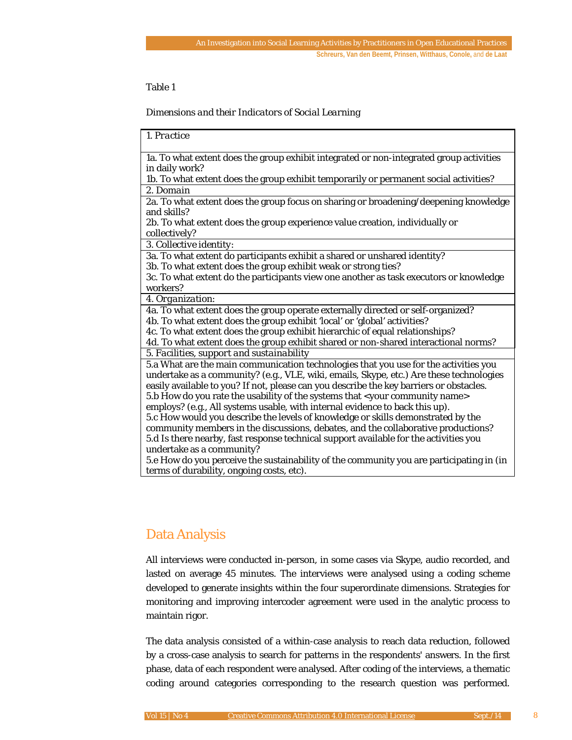#### Table 1

#### *Dimensions and their Indicators of Social Learning*

| 1. Practice                                                                                         |
|-----------------------------------------------------------------------------------------------------|
|                                                                                                     |
| 1a. To what extent does the group exhibit integrated or non-integrated group activities             |
| in daily work?                                                                                      |
| 1b. To what extent does the group exhibit temporarily or permanent social activities?               |
| 2. Domain                                                                                           |
| 2a. To what extent does the group focus on sharing or broadening/deepening knowledge<br>and skills? |
| 2b. To what extent does the group experience value creation, individually or<br>collectively?       |
| 3. Collective identity:                                                                             |
| 3a. To what extent do participants exhibit a shared or unshared identity?                           |
| 3b. To what extent does the group exhibit weak or strong ties?                                      |
| 3c. To what extent do the participants view one another as task executors or knowledge              |
| workers?                                                                                            |
| 4. Organization:                                                                                    |
| 4a. To what extent does the group operate externally directed or self-organized?                    |
| 4b. To what extent does the group exhibit 'local' or 'global' activities?                           |
| 4c. To what extent does the group exhibit hierarchic of equal relationships?                        |
| 4d. To what extent does the group exhibit shared or non-shared interactional norms?                 |
| 5. Facilities, support and sustainability                                                           |
| 5.a What are the main communication technologies that you use for the activities you                |
| undertake as a community? (e.g., VLE, wiki, emails, Skype, etc.) Are these technologies             |
| easily available to you? If not, please can you describe the key barriers or obstacles.             |
| 5.b How do you rate the usability of the systems that <your community="" name=""></your>            |
| employs? (e.g., All systems usable, with internal evidence to back this up).                        |
| 5.c How would you describe the levels of knowledge or skills demonstrated by the                    |
| community members in the discussions, debates, and the collaborative productions?                   |
| 5.d Is there nearby, fast response technical support available for the activities you               |
| undertake as a community?                                                                           |
| 5.e How do you perceive the sustainability of the community you are participating in (in            |
| terms of durability, ongoing costs, etc).                                                           |

# Data Analysis

All interviews were conducted in-person, in some cases via Skype, audio recorded, and lasted on average 45 minutes. The interviews were analysed using a coding scheme developed to generate insights within the four superordinate dimensions. Strategies for monitoring and improving intercoder agreement were used in the analytic process to maintain rigor.

The data analysis consisted of a within-case analysis to reach data reduction, followed by a cross-case analysis to search for patterns in the respondents' answers. In the first phase, data of each respondent were analysed. After coding of the interviews, a thematic coding around categories corresponding to the research question was performed.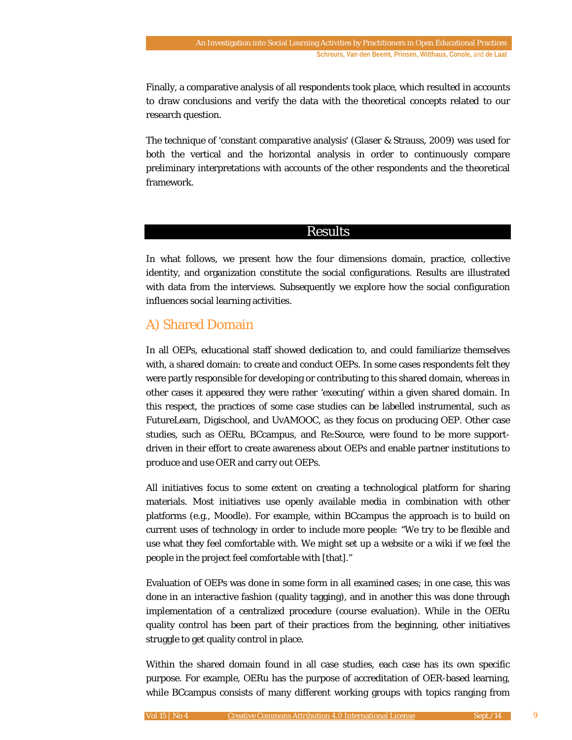Finally, a comparative analysis of all respondents took place, which resulted in accounts to draw conclusions and verify the data with the theoretical concepts related to our research question.

The technique of 'constant comparative analysis' (Glaser & Strauss, 2009) was used for both the vertical and the horizontal analysis in order to continuously compare preliminary interpretations with accounts of the other respondents and the theoretical framework.

### Results

In what follows, we present how the four dimensions domain, practice, collective identity, and organization constitute the social configurations. Results are illustrated with data from the interviews. Subsequently we explore how the social configuration influences social learning activities.

# A) Shared Domain

In all OEPs, educational staff showed dedication to, and could familiarize themselves with, a shared domain: to create and conduct OEPs. In some cases respondents felt they were partly responsible for developing or contributing to this shared domain, whereas in other cases it appeared they were rather 'executing' within a given shared domain. In this respect, the practices of some case studies can be labelled instrumental, such as FutureLearn, Digischool, and UvAMOOC, as they focus on producing OEP. Other case studies, such as OERu, BCcampus, and Re:Source, were found to be more supportdriven in their effort to create awareness about OEPs and enable partner institutions to produce and use OER and carry out OEPs.

All initiatives focus to some extent on creating a technological platform for sharing materials. Most initiatives use openly available media in combination with other platforms (e.g., Moodle). For example, within BCcampus the approach is to build on current uses of technology in order to include more people: "We try to be flexible and use what they feel comfortable with. We might set up a website or a wiki if we feel the people in the project feel comfortable with [that]."

Evaluation of OEPs was done in some form in all examined cases; in one case, this was done in an interactive fashion (quality tagging), and in another this was done through implementation of a centralized procedure (course evaluation). While in the OERu quality control has been part of their practices from the beginning, other initiatives struggle to get quality control in place.

Within the shared domain found in all case studies, each case has its own specific purpose. For example, OERu has the purpose of accreditation of OER-based learning, while BCcampus consists of many different working groups with topics ranging from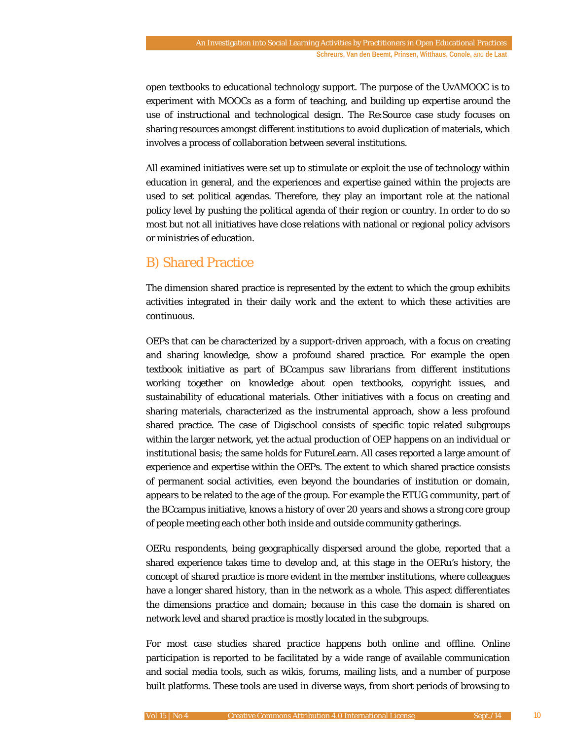open textbooks to educational technology support. The purpose of the UvAMOOC is to experiment with MOOCs as a form of teaching, and building up expertise around the use of instructional and technological design. The Re:Source case study focuses on sharing resources amongst different institutions to avoid duplication of materials, which involves a process of collaboration between several institutions.

All examined initiatives were set up to stimulate or exploit the use of technology within education in general, and the experiences and expertise gained within the projects are used to set political agendas. Therefore, they play an important role at the national policy level by pushing the political agenda of their region or country. In order to do so most but not all initiatives have close relations with national or regional policy advisors or ministries of education.

### B) Shared Practice

The dimension shared practice is represented by the extent to which the group exhibits activities integrated in their daily work and the extent to which these activities are continuous.

OEPs that can be characterized by a support-driven approach, with a focus on creating and sharing knowledge, show a profound shared practice. For example the open textbook initiative as part of BCcampus saw librarians from different institutions working together on knowledge about open textbooks, copyright issues, and sustainability of educational materials. Other initiatives with a focus on creating and sharing materials, characterized as the instrumental approach, show a less profound shared practice. The case of Digischool consists of specific topic related subgroups within the larger network, yet the actual production of OEP happens on an individual or institutional basis; the same holds for FutureLearn. All cases reported a large amount of experience and expertise within the OEPs. The extent to which shared practice consists of permanent social activities, even beyond the boundaries of institution or domain, appears to be related to the age of the group. For example the ETUG community, part of the BCcampus initiative, knows a history of over 20 years and shows a strong core group of people meeting each other both inside and outside community gatherings.

OERu respondents, being geographically dispersed around the globe, reported that a shared experience takes time to develop and, at this stage in the OERu's history, the concept of shared practice is more evident in the member institutions, where colleagues have a longer shared history, than in the network as a whole. This aspect differentiates the dimensions practice and domain; because in this case the domain is shared on network level and shared practice is mostly located in the subgroups.

For most case studies shared practice happens both online and offline. Online participation is reported to be facilitated by a wide range of available communication and social media tools, such as wikis, forums, mailing lists, and a number of purpose built platforms. These tools are used in diverse ways, from short periods of browsing to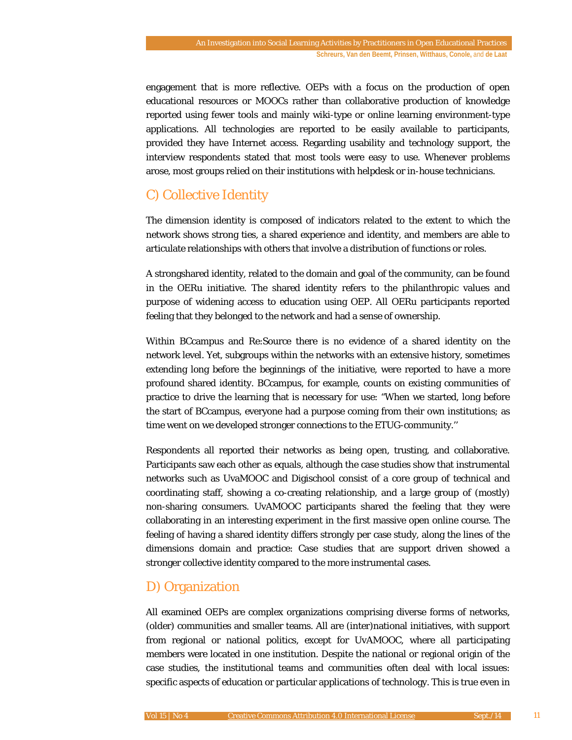engagement that is more reflective. OEPs with a focus on the production of open educational resources or MOOCs rather than collaborative production of knowledge reported using fewer tools and mainly wiki-type or online learning environment-type applications. All technologies are reported to be easily available to participants, provided they have Internet access. Regarding usability and technology support, the interview respondents stated that most tools were easy to use. Whenever problems arose, most groups relied on their institutions with helpdesk or in-house technicians.

# C) Collective Identity

The dimension identity is composed of indicators related to the extent to which the network shows strong ties, a shared experience and identity, and members are able to articulate relationships with others that involve a distribution of functions or roles.

A strongshared identity, related to the domain and goal of the community, can be found in the OERu initiative. The shared identity refers to the philanthropic values and purpose of widening access to education using OEP. All OERu participants reported feeling that they belonged to the network and had a sense of ownership.

Within BCcampus and Re:Source there is no evidence of a shared identity on the network level. Yet, subgroups within the networks with an extensive history, sometimes extending long before the beginnings of the initiative, were reported to have a more profound shared identity. BCcampus, for example, counts on existing communities of practice to drive the learning that is necessary for use: "When we started, long before the start of BCcampus, everyone had a purpose coming from their own institutions; as time went on we developed stronger connections to the ETUG-community.''

Respondents all reported their networks as being open, trusting, and collaborative. Participants saw each other as equals, although the case studies show that instrumental networks such as UvaMOOC and Digischool consist of a core group of technical and coordinating staff, showing a co-creating relationship, and a large group of (mostly) non-sharing consumers. UvAMOOC participants shared the feeling that they were collaborating in an interesting experiment in the first massive open online course. The feeling of having a shared identity differs strongly per case study, along the lines of the dimensions domain and practice: Case studies that are support driven showed a stronger collective identity compared to the more instrumental cases.

### D) Organization

All examined OEPs are complex organizations comprising diverse forms of networks, (older) communities and smaller teams. All are (inter)national initiatives, with support from regional or national politics, except for UvAMOOC, where all participating members were located in one institution. Despite the national or regional origin of the case studies, the institutional teams and communities often deal with local issues: specific aspects of education or particular applications of technology. This is true even in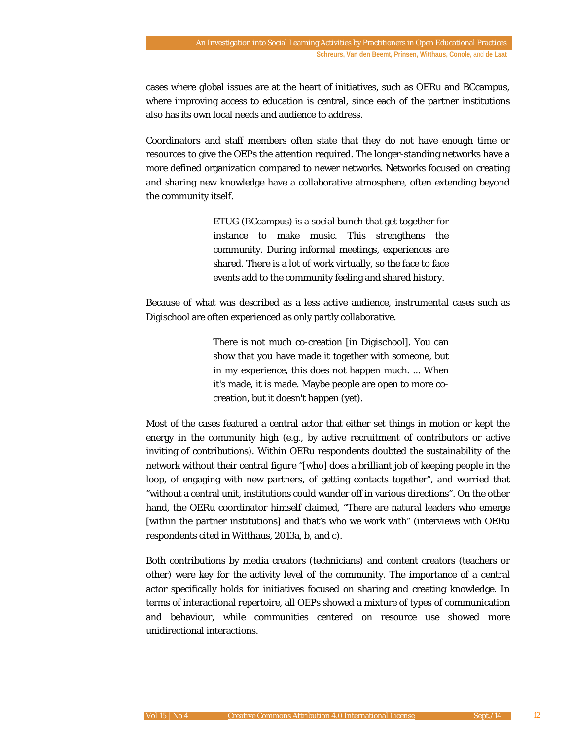cases where global issues are at the heart of initiatives, such as OERu and BCcampus, where improving access to education is central, since each of the partner institutions also has its own local needs and audience to address.

Coordinators and staff members often state that they do not have enough time or resources to give the OEPs the attention required. The longer-standing networks have a more defined organization compared to newer networks. Networks focused on creating and sharing new knowledge have a collaborative atmosphere, often extending beyond the community itself.

> ETUG (BCcampus) is a social bunch that get together for instance to make music. This strengthens the community. During informal meetings, experiences are shared. There is a lot of work virtually, so the face to face events add to the community feeling and shared history.

Because of what was described as a less active audience, instrumental cases such as Digischool are often experienced as only partly collaborative.

> There is not much co-creation [in Digischool]. You can show that you have made it together with someone, but in my experience, this does not happen much. ... When it's made, it is made. Maybe people are open to more cocreation, but it doesn't happen (yet).

Most of the cases featured a central actor that either set things in motion or kept the energy in the community high (e.g., by active recruitment of contributors or active inviting of contributions). Within OERu respondents doubted the sustainability of the network without their central *figure* "[who] does a brilliant job of keeping people in the loop, of engaging with new partners, of getting contacts together", and worried that "without a central unit, institutions could wander off in various directions". On the other hand, the OERu coordinator himself claimed, "There are natural leaders who emerge [within the partner institutions] and that's who we work with" (interviews with OERu respondents cited in Witthaus, 2013a, b, and c).

Both contributions by media creators (technicians) and content creators (teachers or other) were key for the activity level of the community. The importance of a central actor specifically holds for initiatives focused on sharing and creating knowledge. In terms of interactional repertoire, all OEPs showed a mixture of types of communication and behaviour, while communities centered on resource use showed more unidirectional interactions.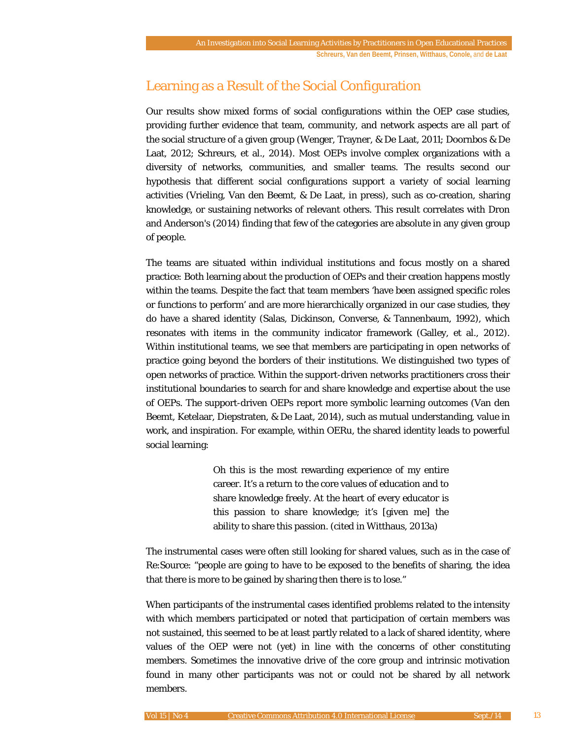# Learning as a Result of the Social Configuration

Our results show mixed forms of social configurations within the OEP case studies, providing further evidence that team, community, and network aspects are all part of the social structure of a given group (Wenger, Trayner, & De Laat, 2011; Doornbos & De Laat, 2012; Schreurs, et al., 2014). Most OEPs involve complex organizations with a diversity of networks, communities, and smaller teams. The results second our hypothesis that different social configurations support a variety of social learning activities (Vrieling, Van den Beemt, & De Laat, in press), such as co-creation, sharing knowledge, or sustaining networks of relevant others. This result correlates with Dron and Anderson's (2014) finding that few of the categories are absolute in any given group of people.

The teams are situated within individual institutions and focus mostly on a shared practice: Both learning about the production of OEPs and their creation happens mostly within the teams. Despite the fact that team members 'have been assigned specific roles or functions to perform' and are more hierarchically organized in our case studies, they do have a shared identity (Salas, Dickinson, Converse, & Tannenbaum, 1992), which resonates with items in the community indicator framework (Galley, et al., 2012). Within institutional teams, we see that members are participating in open networks of practice going beyond the borders of their institutions. We distinguished two types of open networks of practice. Within the support-driven networks practitioners cross their institutional boundaries to search for and share knowledge and expertise about the use of OEPs. The support-driven OEPs report more symbolic learning outcomes (Van den Beemt, Ketelaar, Diepstraten, & De Laat, 2014), such as mutual understanding, value in work, and inspiration. For example, within OERu, the shared identity leads to powerful social learning:

> Oh this is the most rewarding experience of my entire career. It's a return to the core values of education and to share knowledge freely. At the heart of every educator is this passion to share knowledge; it's [given me] the ability to share this passion. (cited in Witthaus, 2013a)

The instrumental cases were often still looking for shared values, such as in the case of Re:Source: "people are going to have to be exposed to the benefits of sharing, the idea that there is more to be gained by sharing then there is to lose."

When participants of the instrumental cases identified problems related to the intensity with which members participated or noted that participation of certain members was not sustained, this seemed to be at least partly related to a lack of shared identity, where values of the OEP were not (yet) in line with the concerns of other constituting members. Sometimes the innovative drive of the core group and intrinsic motivation found in many other participants was not or could not be shared by all network members.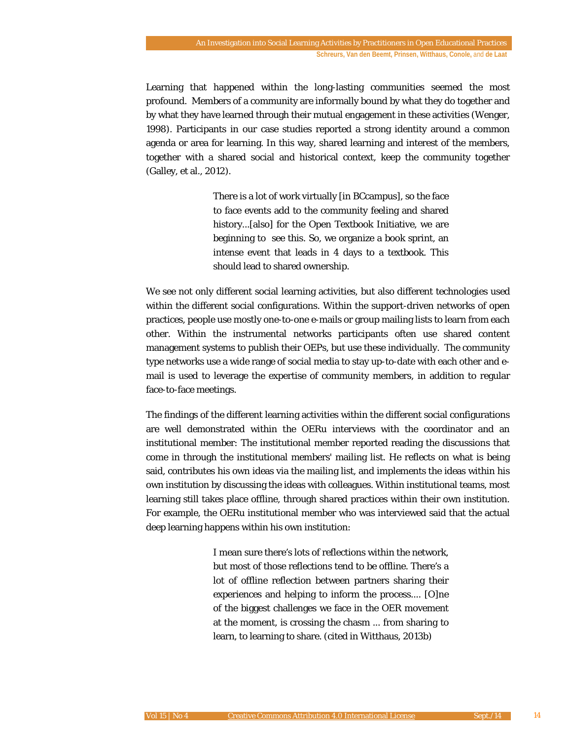Learning that happened within the long-lasting communities seemed the most profound. Members of a community are informally bound by what they do together and by what they have learned through their mutual engagement in these activities (Wenger, 1998). Participants in our case studies reported a strong identity around a common agenda or area for learning. In this way, shared learning and interest of the members, together with a shared social and historical context, keep the community together (Galley, et al., 2012).

> There is a lot of work virtually [in BCcampus], so the face to face events add to the community feeling and shared history...[also] for the Open Textbook Initiative, we are beginning to see this. So, we organize a book sprint, an intense event that leads in 4 days to a textbook. This should lead to shared ownership.

We see not only different social learning activities, but also different technologies used within the different social configurations. Within the support-driven networks of open practices, people use mostly one-to-one e-mails or group mailing lists to learn from each other. Within the instrumental networks participants often use shared content management systems to publish their OEPs, but use these individually. The community type networks use a wide range of social media to stay up-to-date with each other and email is used to leverage the expertise of community members, in addition to regular face-to-face meetings.

The findings of the different learning activities within the different social configurations are well demonstrated within the OERu interviews with the coordinator and an institutional member: The institutional member reported reading the discussions that come in through the institutional members' mailing list. He reflects on what is being said, contributes his own ideas via the mailing list, and implements the ideas within his own institution by discussing the ideas with colleagues. Within institutional teams, most learning still takes place offline, through shared practices within their own institution. For example, the OERu institutional member who was interviewed said that the actual deep learning happens within his own institution:

> I mean sure there's lots of reflections within the network, but most of those reflections tend to be offline. There's a lot of offline reflection between partners sharing their experiences and helping to inform the process.... [O]ne of the biggest challenges we face in the OER movement at the moment, is crossing the chasm ... from sharing to learn, to learning to share. (cited in Witthaus, 2013b)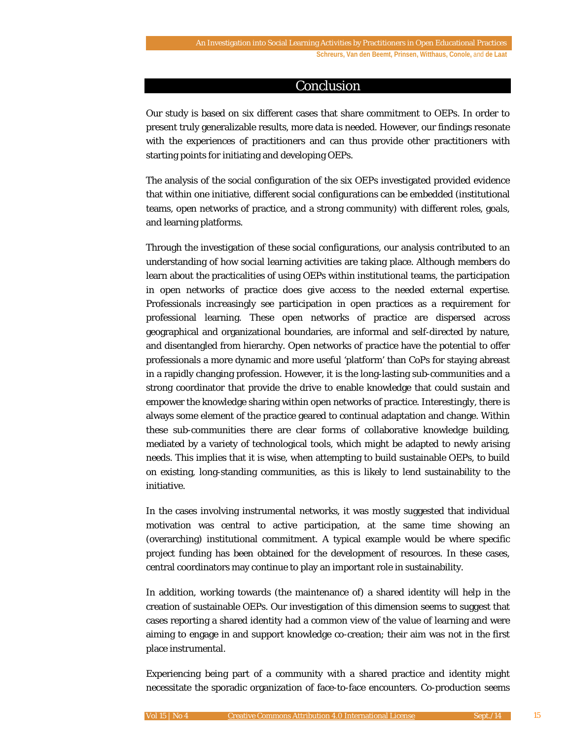#### Conclusion

Our study is based on six different cases that share commitment to OEPs. In order to present truly generalizable results, more data is needed. However, our findings resonate with the experiences of practitioners and can thus provide other practitioners with starting points for initiating and developing OEPs.

The analysis of the social configuration of the six OEPs investigated provided evidence that within one initiative, different social configurations can be embedded (institutional teams, open networks of practice, and a strong community) with different roles, goals, and learning platforms.

Through the investigation of these social configurations, our analysis contributed to an understanding of how social learning activities are taking place. Although members do learn about the practicalities of using OEPs within institutional teams, the participation in open networks of practice does give access to the needed external expertise. Professionals increasingly see participation in open practices as a requirement for professional learning. These open networks of practice are dispersed across geographical and organizational boundaries, are informal and self-directed by nature, and disentangled from hierarchy. Open networks of practice have the potential to offer professionals a more dynamic and more useful 'platform' than CoPs for staying abreast in a rapidly changing profession. However, it is the long-lasting sub-communities and a strong coordinator that provide the drive to enable knowledge that could sustain and empower the knowledge sharing within open networks of practice. Interestingly, there is always some element of the practice geared to continual adaptation and change. Within these sub-communities there are clear forms of collaborative knowledge building, mediated by a variety of technological tools, which might be adapted to newly arising needs. This implies that it is wise, when attempting to build sustainable OEPs, to build on existing, long-standing communities, as this is likely to lend sustainability to the initiative.

In the cases involving instrumental networks, it was mostly suggested that individual motivation was central to active participation, at the same time showing an (overarching) institutional commitment. A typical example would be where specific project funding has been obtained for the development of resources. In these cases, central coordinators may continue to play an important role in sustainability.

In addition, working towards (the maintenance of) a shared identity will help in the creation of sustainable OEPs. Our investigation of this dimension seems to suggest that cases reporting a shared identity had a common view of the value of learning and were aiming to engage in and support knowledge co-creation; their aim was not in the first place instrumental.

Experiencing being part of a community with a shared practice and identity might necessitate the sporadic organization of face-to-face encounters. Co-production seems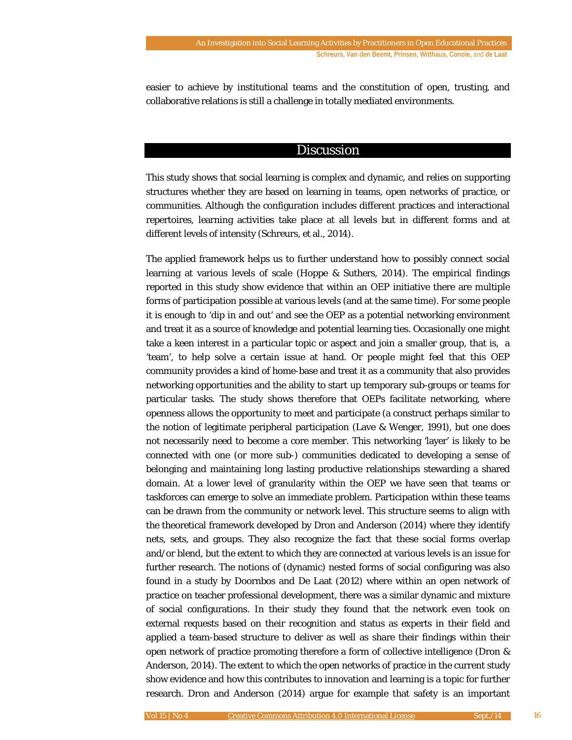easier to achieve by institutional teams and the constitution of open, trusting, and collaborative relations is still a challenge in totally mediated environments.

### Discussion

This study shows that social learning is complex and dynamic, and relies on supporting structures whether they are based on learning in teams, open networks of practice, or communities. Although the configuration includes different practices and interactional repertoires, learning activities take place at all levels but in different forms and at different levels of intensity (Schreurs, et al., 2014).

The applied framework helps us to further understand how to possibly connect social learning at various levels of scale (Hoppe & Suthers, 2014). The empirical findings reported in this study show evidence that within an OEP initiative there are multiple forms of participation possible at various levels (and at the same time). For some people it is enough to 'dip in and out' and see the OEP as a potential networking environment and treat it as a source of knowledge and potential learning ties. Occasionally one might take a keen interest in a particular topic or aspect and join a smaller group, that is, a 'team', to help solve a certain issue at hand. Or people might feel that this OEP community provides a kind of home-base and treat it as a community that also provides networking opportunities and the ability to start up temporary sub-groups or teams for particular tasks. The study shows therefore that OEPs facilitate networking, where openness allows the opportunity to meet and participate (a construct perhaps similar to the notion of legitimate peripheral participation (Lave & Wenger, 1991), but one does not necessarily need to become a core member. This networking 'layer' is likely to be connected with one (or more sub-) communities dedicated to developing a sense of belonging and maintaining long lasting productive relationships stewarding a shared domain. At a lower level of granularity within the OEP we have seen that teams or taskforces can emerge to solve an immediate problem. Participation within these teams can be drawn from the community or network level. This structure seems to align with the theoretical framework developed by Dron and Anderson (2014) where they identify nets, sets, and groups. They also recognize the fact that these social forms overlap and/or blend, but the extent to which they are connected at various levels is an issue for further research. The notions of (dynamic) nested forms of social configuring was also found in a study by Doornbos and De Laat (2012) where within an open network of practice on teacher professional development, there was a similar dynamic and mixture of social configurations. In their study they found that the network even took on external requests based on their recognition and status as experts in their field and applied a team-based structure to deliver as well as share their findings within their open network of practice promoting therefore a form of collective intelligence (Dron & Anderson, 2014). The extent to which the open networks of practice in the current study show evidence and how this contributes to innovation and learning is a topic for further research. Dron and Anderson (2014) argue for example that safety is an important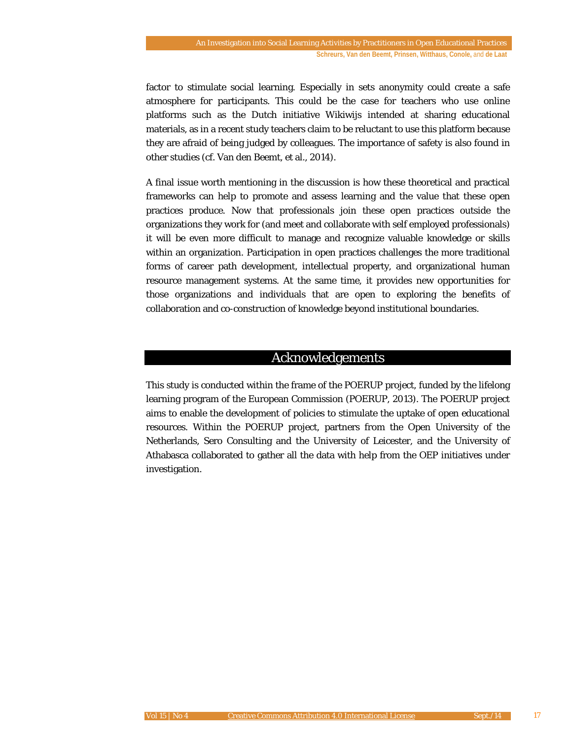factor to stimulate social learning. Especially in sets anonymity could create a safe atmosphere for participants. This could be the case for teachers who use online platforms such as the Dutch initiative Wikiwijs intended at sharing educational materials, as in a recent study teachers claim to be reluctant to use this platform because they are afraid of being judged by colleagues. The importance of safety is also found in other studies (cf. Van den Beemt, et al., 2014).

A final issue worth mentioning in the discussion is how these theoretical and practical frameworks can help to promote and assess learning and the value that these open practices produce. Now that professionals join these open practices outside the organizations they work for (and meet and collaborate with self employed professionals) it will be even more difficult to manage and recognize valuable knowledge or skills within an organization. Participation in open practices challenges the more traditional forms of career path development, intellectual property, and organizational human resource management systems. At the same time, it provides new opportunities for those organizations and individuals that are open to exploring the benefits of collaboration and co-construction of knowledge beyond institutional boundaries.

### Acknowledgements

This study is conducted within the frame of the POERUP project, funded by the lifelong learning program of the European Commission (POERUP, 2013). The POERUP project aims to enable the development of policies to stimulate the uptake of open educational resources. Within the POERUP project, partners from the Open University of the Netherlands, Sero Consulting and the University of Leicester, and the University of Athabasca collaborated to gather all the data with help from the OEP initiatives under investigation.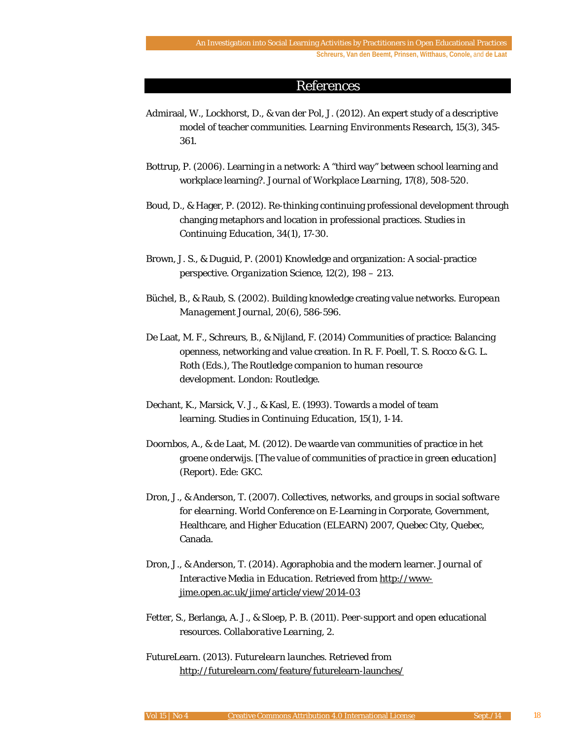#### References

- Admiraal, W., Lockhorst, D., & van der Pol, J. (2012). An expert study of a descriptive model of teacher communities. *Learning Environments Research*, *15*(3), 345- 361.
- Bottrup, P. (2006). Learning in a network: A "third way" between school learning and workplace learning?. *Journal of Workplace Learning*, *17*(8), 508-520.
- Boud, D., & Hager, P. (2012). Re-thinking continuing professional development through changing metaphors and location in professional practices. *Studies in Continuing Education*, *34*(1), 17-30.
- Brown, J. S., & Duguid, P. (2001) Knowledge and organization: A social-practice perspective. *Organization Science*, *12*(2), 198 – 213.
- Büchel, B., & Raub, S. (2002). Building knowledge creating value networks. *European Management Journal, 20*(6), 586-596.
- De Laat, M. F., Schreurs, B., & Nijland, F. (2014) Communities of practice: Balancing openness, networking and value creation. In R. F. Poell, T. S. Rocco & G. L. Roth (Eds.), *The Routledge companion to human resource development.* London: Routledge.
- Dechant, K., Marsick, V. J., & Kasl, E. (1993). Towards a model of team learning. *Studies in Continuing Education*, *15*(1), 1-14.
- Doornbos, A., & de Laat, M. (2012). De waarde van communities of practice in het groene onderwijs. [*The value of communities of practice in green education*] (Report). Ede: GKC.
- Dron, J., & Anderson, T. (2007). *Collectives, networks, and groups in social software for elearning*. World Conference on E-Learning in Corporate, Government, Healthcare, and Higher Education (ELEARN) 2007, Quebec City, Quebec, Canada.
- Dron, J., & Anderson, T. (2014). Agoraphobia and the modern learner. *Journal of Interactive Media in Education*. Retrieved from [http://www](http://www-jime.open.ac.uk/jime/article/view/2014-03)[jime.open.ac.uk/jime/article/view/2014-03](http://www-jime.open.ac.uk/jime/article/view/2014-03)
- Fetter, S., Berlanga, A. J., & Sloep, P. B. (2011). Peer-support and open educational resources. *Collaborative Learning*, *2*.
- FutureLearn. (2013). *Futurelearn launches*. Retrieved from <http://futurelearn.com/feature/futurelearn-launches/>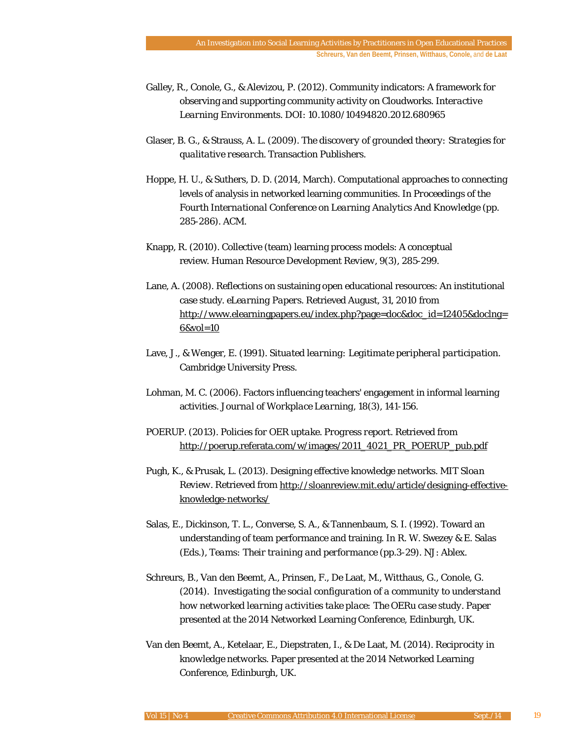- Galley, R., Conole, G., & Alevizou, P. (2012). Community indicators: A framework for observing and supporting community activity on Cloudworks. *Interactive Learning Environments.* DOI: 10.1080/10494820.2012.680965
- Glaser, B. G., & Strauss, A. L. (2009). *The discovery of grounded theory: Strategies for qualitative research.* Transaction Publishers.
- Hoppe, H. U., & Suthers, D. D. (2014, March). Computational approaches to connecting levels of analysis in networked learning communities. In *Proceedings of the Fourth International Conference on Learning Analytics And Knowledge* (pp. 285-286). ACM.
- Knapp, R. (2010). Collective (team) learning process models: A conceptual review. *Human Resource Development Review*, *9*(3), 285-299.
- Lane, A. (2008). Reflections on sustaining open educational resources: An institutional case study. *eLearning Papers.* Retrieved August, 31, 2010 from [http://www.elearningpapers.eu/index.php?page=doc&doc\\_id=12405&doclng=](http://www.elearningpapers.eu/index.php?page=doc&doc_id=12405&doclng=6&vol=10) [6&vol=10](http://www.elearningpapers.eu/index.php?page=doc&doc_id=12405&doclng=6&vol=10)
- Lave, J., & Wenger, E. (1991). *Situated learning: Legitimate peripheral participation*. Cambridge University Press.
- Lohman, M. C. (2006). Factors influencing teachers' engagement in informal learning activities. *Journal of Workplace Learning*, *18*(3), 141-156.
- POERUP. (2013). *Policies for OER uptake*. *Progress report*. Retrieved from [http://poerup.referata.com/w/images/2011\\_4021\\_PR\\_POERUP\\_pub.pdf](http://poerup.referata.com/w/images/2011_4021_PR_POERUP_pub.pdf)
- Pugh, K., & Prusak, L. (2013). Designing effective knowledge networks. *MIT Sloan Review*. Retrieved from [http://sloanreview.mit.edu/article/designing-effective](http://sloanreview.mit.edu/article/designing-effective-knowledge-networks/)[knowledge-networks/](http://sloanreview.mit.edu/article/designing-effective-knowledge-networks/)
- Salas, E., Dickinson, T. L., Converse, S. A., & Tannenbaum, S. I. (1992). Toward an understanding of team performance and training. In R. W. Swezey & E. Salas (Eds.)*, Teams: Their training and performance* (pp.3-29). NJ: Ablex.
- Schreurs, B., Van den Beemt, A., Prinsen, F., De Laat, M., Witthaus, G., Conole, G. (2014*). Investigating the social configuration of a community to understand how networked learning activities take place: The OERu case study.* Paper presented at the 2014 Networked Learning Conference, Edinburgh, UK.
- Van den Beemt, A., Ketelaar, E., Diepstraten, I., & De Laat, M. (2014). *Reciprocity in knowledge networks.* Paper presented at the 2014 Networked Learning Conference, Edinburgh, UK.